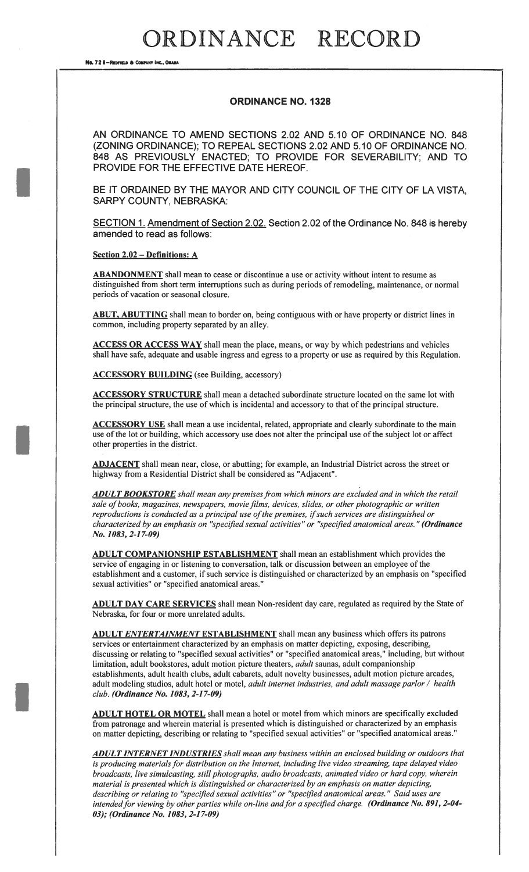### RDINANCE RECORD

No. 72 8-Reprised & COMPANY INC., OMAN

#### ORDINANCE NO. 1328

AN ORDINANCE TO AMEND SECTIONS 2.02 AND 5.10 OF ORDINANCE NO. 848 (ZONING ORDINANCE); TO REPEAL SECTIONS 2.02 AND 5.10 OF ORDINANCE NO. 848 AS PREVIOUSLY ENACTED; TO PROVIDE FOR SEVERABILITY; AND TO PROVIDE FOR THE EFFECTIVE DATE HEREOF.

BE IT ORDAINED BY THE MAYOR AND CITY COUNCIL OF THE CITY OF LA VISTA, SARPY COUNTY, NEBRASKA:

SECTION 1. Amendment of Section 2.02. Section 2.02 of the Ordinance No. 848 is hereby amended to read as follows:

Section 2.02 — Definitions: A

ABANDONMENT shall mean to cease or discontinue a use or activity without intent to resume as distinguished from short term interruptions such as during periods of remodeling, maintenance, or normal periods of vacation or seasonal closure.

ABUT, ABUTTING shall mean to border on, being contiguous with or have property or district lines in common, including property separated by an alley.

ACCESS OR ACCESS WAY shall mean the place, means, or way by which pedestrians and vehicles shall have safe, adequate and usable ingress and egress to a property or use as required by this Regulation.

ACCESSORY BUILDING (see Building, accessory)

ACCESSORY STRUCTURE shall mean a detached subordinate structure located on the same lot with the principal structure, the use of which is incidental and accessory to that of the principal structure.

ACCESSORY USE shall mean a use incidental, related, appropriate and clearly subordinate to the main use of the lot or building, which accessory use does not alter the principal use of the subject lot or affect other properties in the district.

ADJACENT shall mean near, close, or abutting; for example, an Industrial District across the street or highway from a Residential District shall be considered as "Adjacent".

**ADULT BOOKSTORE** shall mean any premises from which minors are excluded and in which the retail sale of books, magazines, newspapers, movie films, devices, slides, or other photographic or written reproductions is conducted as a principal use of the premises, if such services are distinguished or characterized by an emphasis on "specified sexual activities" or "specified anatomical areas." (Ordinance No. 1083, 2-17-09)

ADULT COMPANIONSHIP ESTABLISHMENT shall mean an establishment which provides the service of engaging in or listening to conversation, talk or discussion between an employee of the establishment and a customer, if such service is distinguished or characterized by an emphasis on "specified sexual activities" or "specified anatomical areas."

ADULT DAY CARE SERVICES shall mean Non-resident day care, regulated as required by the State of Nebraska, for four or more unrelated adults.

ADULT ENTERTAINMENT ESTABLISHMENT shall mean any business which offers its patrons services or entertainment characterized by an emphasis on matter depicting, exposing, describing, discussing or relating to "specified sexual activities" or "specified anatomical areas," including, but without limitation, adult bookstores, adult motion picture theaters, *adult* saunas, adult companionship establishments, adult health clubs, adult cabarets, adult novelty businesses, adult motion picture arcades, adult modeling studios, adult hotel or motel, adult internet industries, and adult massage parlor / health club. (Ordinance No. 1083, 2-1 7-09)

ADULT HOTEL OR MOTEL shall mean a hotel or motel from which minors are specifically excluded from patronage and wherein material is presented which is distinguished or characterized by an emphasis on matter depicting, describing or relating to "specified sexual activities" or "specified anatomical areas."

ADULT INTERNET INDUSTRIES shall mean any business within an enclosed building or outdoors that is producing materials for distribution on the Internet, including live video streaming, tape delayed video broadcasts, live simulcasting, still photographs, audio broadcasts, animated video or hard copy, wherein material is presented which is distinguished or characterized by an emphasis on matter depicting, describing or relating to "specified sexual activities" or "specified anatomical areas." Said uses are intended for viewing by other parties while on-line and for a specified charge. (Ordinance No. 891, 2-04-03); (Ordinance No. 1083, 2-1 7-09)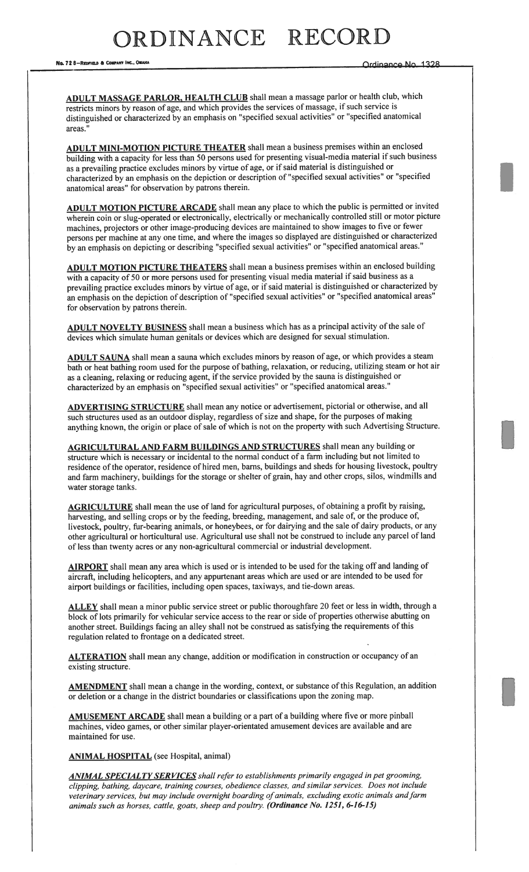## RDINANCE RECOR

No. 728-REDFIELD & COMPANY INC., OMAHA COMPANY INC., OMAHA COMPANY INC. OF CHANGE OR ORCHESTER OF CHANGE OF CH

ADULT MASSAGE PARLOR, HEALTH CLUB shall mean a massage parlor or health club, which restricts minors by reason of age, and which provides the services of massage, if such service is distinguished or characterized by an emphasis on "specified sexual activities" or "specified anatomical areas."

ADULT MINI-MOTION PICTURE THEATER shall mean a business premises within an enclosed building with a capacity for less than 50 persons used for presenting visual-media material if such business as a prevailing practice excludes minors by virtue of age, or if said material is distinguished or characterized by an emphasis on the depiction or description of "specified sexual activities" or "specified anatomical areas" for observation by patrons therein.

ADULT MOTION PICTURE ARCADE shall mean any place to which the public is permitted or invited wherein coin or slug-operated or electronically, electrically or mechanically controlled still or motor picture machines, projectors or other image-producing devices are maintained to show images to five or fewer persons per machine at any one time, and where the images so displayed are distinguished or characterized by an emphasis on depicting or describing "specified sexual activities" or "specified anatomical areas."

ADULT MOTION PICTURE THEATERS shall mean a business premises within an enclosed building with a capacity of 50 or more persons used for presenting visual media material if said business as a prevailing practice excludes minors by virtue of age, or if said material is distinguished or characterized by an emphasis on the depiction of description of"specified sexual activities" or "specified anatomical areas" for observation by patrons therein.

ADULT NOVELTY BUSINESS shall mean a business which has as a principal activity of the sale of devices which simulate human genitals or devices which are designed for sexual stimulation.

ADULT SAUNA shall mean a sauna which excludes minors by reason of age, or which provides a steam bath or heat bathing room used for the purpose of bathing, relaxation, or reducing, utilizing steam or hot air as a cleaning, relaxing or reducing agent, if the service provided by the sauna is distinguished or characterized by an emphasis on "specified sexual activities" or "specified anatomical areas."

ADVERTISING STRUCTURE shall mean any notice or advertisement, pictorial or otherwise, and all such structures used as an outdoor display, regardless of size and shape, for the purposes of making anything known, the origin or place of sale of which is not on the property with such Advertising Structure.

**AGRICULTURAL AND FARM BUILDINGS AND STRUCTURES** shall mean any building or structure which is necessary or incidental to the normal conduct of a farm including but not limited to residence of the operator, residence of hired men, barns, buildings and sheds for housing livestock, poultry and farm machinery, buildings for the storage or shelter of grain, hay and other crops, silos, windmills and water storage tanks.

AGRICULTURE shall mean the use of land for agricultural purposes, of obtaining a profit by raising, harvesting, and selling crops or by the feeding, breeding, management, and sale of, or the produce of, livestock, poultry, fur-bearing animals, or honeybees, or for dairying and the sale of dairy products, or any other agricultural or horticultural use. Agricultural use shall not be construed to include any parcel of land of less than twenty acres or any non-agricultural commercial or industrial development.

AIRPORT shall mean any area which is used or is intended to be used for the taking off and landing of aircraft, including helicopters, and any appurtenant areas which are used or are intended to be used for airport buildings or facilities, including open spaces, taxiways, and tie-down areas.

ALLEY shall mean a minor public service street or public thoroughfare 20 feet or less in width, through a block of lots primarily for vehicular service access to the rear or side of properties otherwise abutting on another street. Buildings facing an alley shall not be construed as satisfying the requirements of this regulation related to frontage on a dedicated street.

ALTERATION shall mean any change, addition or modification in construction or occupancy of an existing structure.

AMENDMENT shall mean a change in the wording, context, or substance of this Regulation, an addition or deletion or a change in the district boundaries or classifications upon the zoning map.

AMUSEMENT ARCADE shall mean a building or a part of a building where five or more pinball machines, video games, or other similar player-orientated amusement devices are available and are maintained for use.

ANIMAL HOSPITAL (see Hospital, animal)

ANIMAL SPECIALTY SERVICES shall refer to establishments primarily engaged in pet grooming, clipping, bathing, daycare, training courses, obedience classes, and similar services. Does not include veterinary services, but may include overnight boarding of animals, excluding exotic animals and farm animals such as horses, cattle, goats, sheep and poultry. (Ordinance No. 1251, 6-16-15)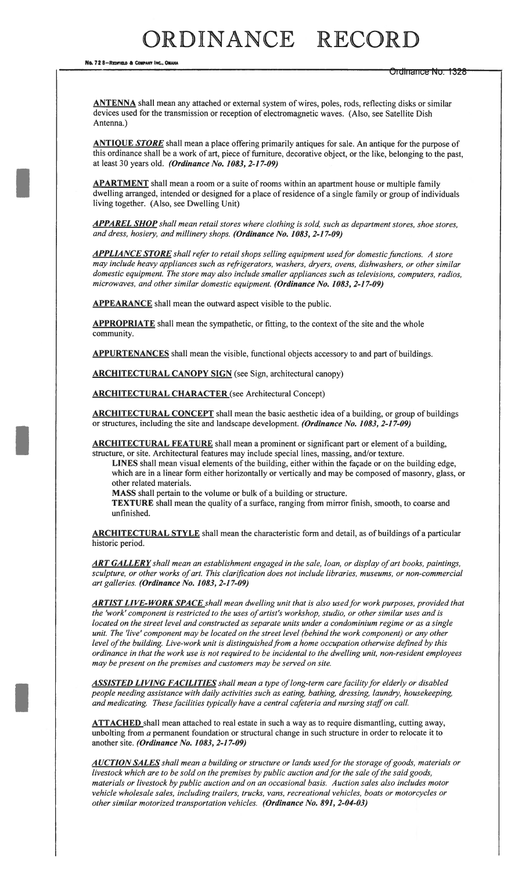# RDINANCE RECORD

No. 72 8-REDFIELD & COMPANY INC., OMAHA

Ng. 72 8—Redfield & Company Inc., Omaha Matthews (New York Changes of Development Changes of Development City Ordiniance No. 1326

**ANTENNA** shall mean any attached or external system of wires, poles, rods, reflecting disks or similar devices used for the transmission or reception of electromagnetic waves. (Also, see Satellite Dish Antenna.)

ANTIQUE STORE shall mean a place offering primarily antiques for sale. An antique for the purpose of this ordinance shall be a work of art, piece of furniture, decorative object, or the like, belonging to the past, at least 30 years old. (Ordinance No. 1083, 2-1 7-09)

APARTMENT shall mean a room or a suite of rooms within an apartment house or multiple family dwelling arranged, intended or designed for a place of residence of a single family or group of individuals living together. (Also, see Dwelling Unit)

APPAREL SHOP shall mean retail stores where clothing is sold, such as department stores, shoe stores, and dress, hosiery, and millinery shops. (Ordinance No. 1083, 2-1 7-09)

APPLIANCE STORE shall refer to retail shops selling equipment used for domestic functions. A store may include heavy appliances such as refrigerators, washers, dryers, ovens, dishwashers, or other similar domestic equipment. The store may also include smaller appliances such as televisions, computers, radios, microwaves, and other similar domestic equipment. (Ordinance No. 1083, 2-17-09)

APPEARANCE shall mean the outward aspect visible to the public.

APPROPRIATE shall mean the sympathetic, or fitting, to the context of the site and the whole community.

APPURTENANCES shall mean the visible, functional objects accessory to and part of buildings.

ARCHITECTURAL CANOPY SIGN (see Sign, architectural canopy)

ARCHITECTURAL CHARACTER (see Architectural Concept)

ARCHITECTURAL CONCEPT shall mean the basic aesthetic idea of a building, or group of buildings or structures, including the site and landscape development. (Ordinance No. 1083, 2-17-09)

ARCHITECTURAL FEATURE shall mean a prominent or significant part or element of a building, structure, or site. Architectural features may include special lines, massing, and/or texture.

LINES shall mean visual elements of the building, either within the façade or on the building edge, which are in a linear form either horizontally or vertically and may be composed of masonry, glass, or other related materials.

MASS shall pertain to the volume or bulk of a building or structure.

TEXTURE shall mean the quality of a surface, ranging from mirror finish, smooth, to coarse and unfinished.

ARCHITECTURAL STYLE shall mean the characteristic form and detail, as of buildings of a particular historic period.

ART GALLERY shall mean an establishment engaged in the sale, loan, or display of art books, paintings, sculpture, or other works of art. This clarification does not include libraries, museums, or non-commercial art galleries. (Ordinance No. 1083, 2-1 7-09)

**ARTIST LIVE-WORK SPACE** shall mean dwelling unit that is also used for work purposes, provided that the 'work' component is restricted to the uses of artist's workshop, studio, or other similar uses and is located on the street level and constructed as separate units under a condominium regime or as a single unit. The 'live' component may be located on the street level (behind the work component) or any other level of the building. Live-work unit is distinguished from a home occupation otherwise defined by this ordinance in that the work use is not required to be incidental to the dwelling unit, non-resident employees may be present on the premises and customers may be served on site.

**ASSISTED LIVING FACILITIES** shall mean a type of long-term care facility for elderly or disabled people needing assistance with daily activities such as eating, bathing, dressing, laundry, housekeeping, and medicating. These facilities typically have a central cafeteria and nursing staff on call.

ATTACHED shall mean attached to real estate in such a way as to require dismantling, cutting away, unbolting from  $a$  permanent foundation or structural change in such structure in order to relocate it to another site. (Ordinance No. 1083, 2-1 7-09)

AUCTION SALES shall mean a building or structure or lands used for the storage of goods, materials or livestock which are to be sold on the premises by public auction and for the sale of the said goods, materials or livestock by public auction and on an occasional basis. Auction sales also includes motor vehicle wholesale sales, including trailers, trucks, vans, recreational vehicles, boats or motorcycles or other similar motorized transportation vehicles. (Ordinance No. 891, 2-04-03)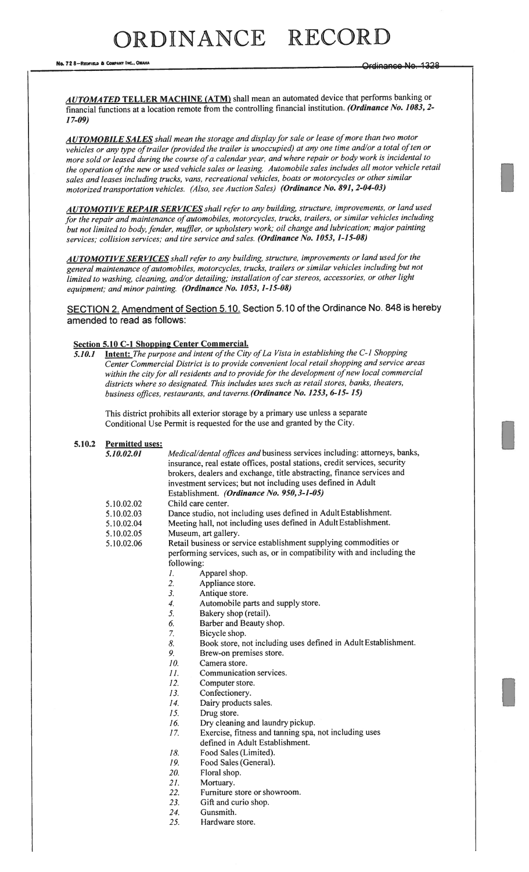No. 72 8-REDFIELD & COMPANY INC., OMAHA

AUTOMATED TELLER MACHINE (ATM) shall mean an automated device that performs banking or financial functions at a location remote from the controlling financial institution. (Ordinance No. 1083, 2-17-09)

AUTOMOBILE SALES shall mean the storage and display for sale or lease of more than two motor vehicles or any type of trailer (provided the trailer is unoccupied) at any one time and/or a total of ten or more sold or leased during the course of a calendar year, and where repair or body work is incidental to the operation of the new or used vehicle sales or leasing. Automobile sales includes all motor vehicle retail sales and leases including trucks, vans, recreational vehicles, boats or motorcycles or other similar motorized transportation vehicles. (Also, see Auction Sales) (Ordinance No. 891, 2-04-03,)

AUTOMOTIVE REPAIR SERVICES shall refer to any building, structure, improvements, or land used for the repair and maintenance of automobiles, motorcycles, trucks, trailers, or similar vehicles including but not limited to body, fender, muffler, or upholstery work; oil change and lubrication; major painting services; collision services; and tire service and sales. (Ordinance No. 1053, 1-15-08)

**AUTOMOTIVE SERVICES** shall refer to any building, structure, improvements or land used for the general maintenance of automobiles, motorcycles, trucks, trailers or similar vehicles including but not limited to washing, cleaning, and/or detailing; installation of car stereos, accessories, or other light equipment; and minor painting. (Ordinance No. 1053, 1-15-08)

SECTION 2. Amendment of Section 5.10. Section 5.10 of the Ordinance No. 848 is hereby amended to read as follows:

#### Section 5.10 C-I Shopping Center Commercial.

5.10.1 Intent: The purpose and intent of the City of La Vista in establishing the C-1 Shopping Center Commercial District is to provide convenient local retail shopping and service areas within the city for all residents and to provide for the development of new local commercial districts where so designated. This includes uses such as retail stores, banks, theaters, business offices, restaurants, and taverns. (Ordinance No. 1253, 6-15- 15)

This district prohibits all exterior storage by <sup>a</sup> primary use unless <sup>a</sup> separate Conditional Use Permit is requested for the use and granted by the City.

#### 5.10.2 Permitted uses:

| 5.10.02.01 | Medical/dental offices and business services including: attorneys, banks,<br>insurance, real estate offices, postal stations, credit services, security<br>brokers, dealers and exchange, title abstracting, finance services and |  |  |  |  |  |
|------------|-----------------------------------------------------------------------------------------------------------------------------------------------------------------------------------------------------------------------------------|--|--|--|--|--|
|            | investment services; but not including uses defined in Adult                                                                                                                                                                      |  |  |  |  |  |
|            | Establishment. (Ordinance No. 950, 3-1-05)                                                                                                                                                                                        |  |  |  |  |  |
| 5.10.02.02 | Child care center.                                                                                                                                                                                                                |  |  |  |  |  |
| 5.10.02.03 | Dance studio, not including uses defined in Adult Establishment.                                                                                                                                                                  |  |  |  |  |  |
| 5.10.02.04 | Meeting hall, not including uses defined in Adult Establishment.                                                                                                                                                                  |  |  |  |  |  |
| 5.10.02.05 | Museum, art gallery.                                                                                                                                                                                                              |  |  |  |  |  |
| 5.10.02.06 | Retail business or service establishment supplying commodities or<br>performing services, such as, or in compatibility with and including the                                                                                     |  |  |  |  |  |
|            | following:                                                                                                                                                                                                                        |  |  |  |  |  |
|            | Apparel shop.<br>1.                                                                                                                                                                                                               |  |  |  |  |  |
|            | $\overline{2}$ .<br>Appliance store.                                                                                                                                                                                              |  |  |  |  |  |
|            | 3 <sub>1</sub><br>Antique store.                                                                                                                                                                                                  |  |  |  |  |  |
|            | Automobile parts and supply store.<br>$\overline{4}$ .                                                                                                                                                                            |  |  |  |  |  |
|            | 5.<br>Bakery shop (retail).                                                                                                                                                                                                       |  |  |  |  |  |
|            | Barber and Beauty shop.<br>6.                                                                                                                                                                                                     |  |  |  |  |  |
|            | 7.<br>Bicycle shop.                                                                                                                                                                                                               |  |  |  |  |  |
|            | Book store, not including uses defined in Adult Establishment.<br>8.                                                                                                                                                              |  |  |  |  |  |
|            | 9.<br>Brew-on premises store.                                                                                                                                                                                                     |  |  |  |  |  |
|            | 10.<br>Camera store.                                                                                                                                                                                                              |  |  |  |  |  |
|            | 11.<br>Communication services.                                                                                                                                                                                                    |  |  |  |  |  |
|            | 12.<br>Computer store.                                                                                                                                                                                                            |  |  |  |  |  |
|            | Confectionery.<br>13.                                                                                                                                                                                                             |  |  |  |  |  |
|            | Dairy products sales.<br>14.                                                                                                                                                                                                      |  |  |  |  |  |
|            | Drug store.<br>15.                                                                                                                                                                                                                |  |  |  |  |  |
|            | Dry cleaning and laundry pickup.<br>16.                                                                                                                                                                                           |  |  |  |  |  |
|            | Exercise, fitness and tanning spa, not including uses<br>17.                                                                                                                                                                      |  |  |  |  |  |
|            | defined in Adult Establishment.                                                                                                                                                                                                   |  |  |  |  |  |
|            | Food Sales (Limited).<br>18.                                                                                                                                                                                                      |  |  |  |  |  |
|            |                                                                                                                                                                                                                                   |  |  |  |  |  |

- 19. Food Sales (General).
- 20. Floral shop.
- 21. Mortuary.
- 22. Furniture store or showroom.
- 23. Gift and curio shop.
- 24. Gunsmith.
- 25. Hardware store.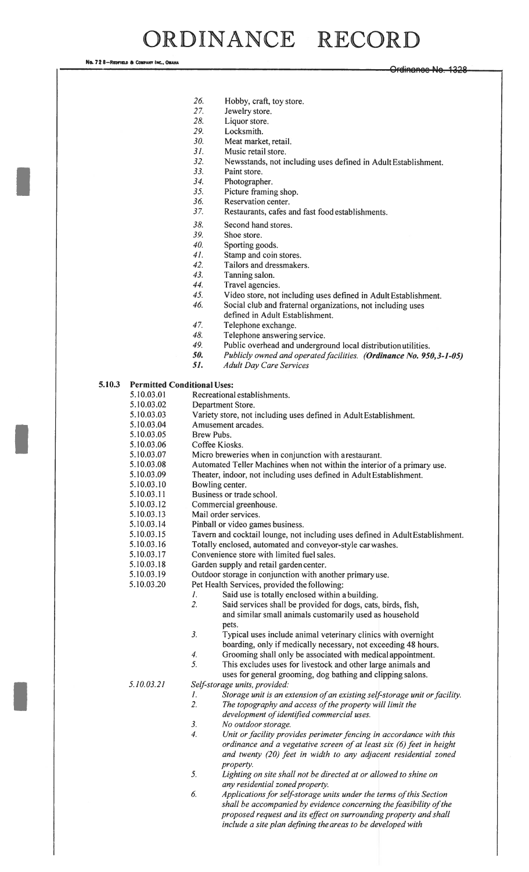# ORDINANCE RECORD

No. 72 8-Repfield & Company INC., OMAN

- 26. Hobby, craft, toy store.<br>27. Jewelry store.
- Jewelry store.
- 28. Liquor store.
- 29. Locksmith.
- 30. Meat market, retail.
- 31. Music retail store.
- 32. Newsstands, not including uses defined in Adult Establishment.
- 33. Paint store.
- 34. Photographer.
- 35. Picture framing shop.<br>36. Reservation center.
- Reservation center.
- 37. Restaurants, cafes and fast food establishments.
- 38. Second hand stores.
- 39. Shoe store.<br>40. Sporting go
- Sporting goods.
- 41. Stamp and coin stores.
- 42. Tailors and dressmakers.
- 43. Tanning salon.
- 44. Travel agencies.
- 45. Video store, not including uses defined in Adult Establishment.
- 46. Social club and fraternal organizations, not including uses defined in Adult Establishment.
- 47. Telephone exchange.<br>48. Telephone answering
- Telephone answering service.
- 49. Public overhead and underground local distribution utilities.
- 50. Publicly owned and operated facilities. (Ordinance No. 950,3-1-05)
- 51. Adult Day Care Services

#### 5.10.3 Permitted Conditional Uses:

- 5. 10.03 .01 Recreational establishments.
- 5.10.03.02 Department Store.
- 5.10.03.03 Variety store, not including uses defined in Adult Establishment.
- 5.10.03.04 Amusement arcades.
- 5.10.03.05 Brew Pubs.
- 5.10.03.06 Coffee Kiosks.
- 5.10.03.07 Micro breweries when in conjunction with arestaurant.
- 5.10.03.08 Automated Teller Machines when not within the interior of a primary use.
- 5.10.03.09 Theater, indoor, not including uses defined in Adult Establishment.
- 5. 10.03. 10 Bowling center.
- 5.10.03.11 Business or trade school.
- 5. 10.03. 12 Commercial greenhouse.
- 5.10.03. 13 Mail order services.
- 5. 10.03. 14 Pinball or video games business.
- 5. 10.03. 15 Tavern and cocktail lounge, not including uses defined in Adult Establishment.
- 5i0.03.l6 Totally enclosed, automated and conveyor-style carwashes.
- 5. 10.03.17 Convenience store with limited fuel sales.
- 5. 10.03. 18 Garden supply and retail garden center.
- 5. 10.03. 19 Outdoor storage in conjunction with another primary use.
- 5.10.03.20 Pet Health Services, provided the following:
	- 1. Said use is totally enclosed within a building.
		- pets. 2. Said services shall be provided for dogs, cats, birds, fish, and similar small animals customarily used as household
		- 3. Typical uses include animal veterinary clinics with overnight boarding, only if medically necessary, not exceeding 48 hours.
		- 4. Grooming shall only be associated with medical appointment.
		- 5. This excludes uses for livestock and other large animals and
		- uses for general grooming, dog bathing and clipping salons.

5.10.03.2]

- Self-storage units, provided:
- 1. Storage unit is an extension of an existing self-storage unit or facility.<br>2. The topography and access of the property will limit the The topography and access of the property will limit the
- development of identified commercial uses.
- 3. No outdoor storage.
- 4. Unit or facility provides perimeter fencing in accordance with this ordinance and a vegetative screen of at least six (6) feet in height and twenty (20) feet in width to any adjacent residential zoned property.
- 5. Lighting on site shall not he directed at or allowed to shine on any residential zoned property.
- 6. Applications for self-storage units under the terms of this Section shall be accompanied by evidence concerning the feasibility of the proposed request and its effect on surrounding property and shall include a site plan defining the areas to be developed with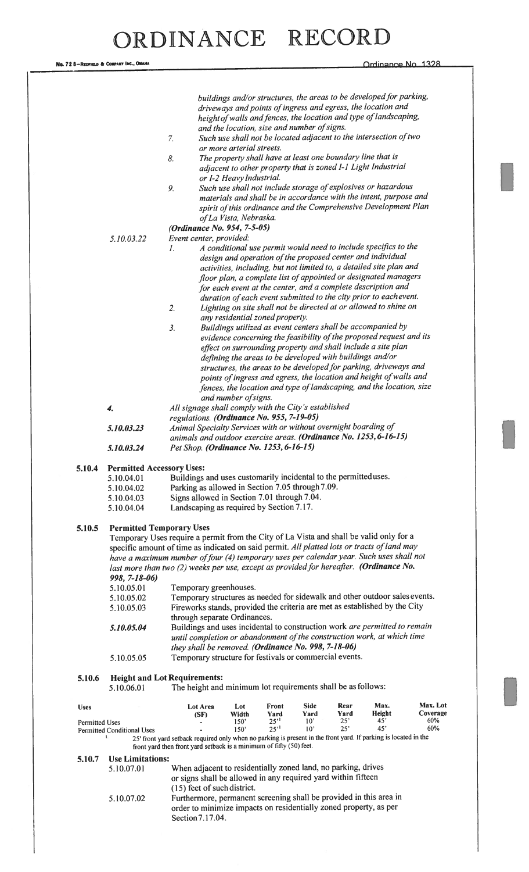|                       |                                                                                             |                                                                                                                 |                                                            |                  |                                 |                     | buildings and/or structures, the areas to be developed for parking,  |            |  |  |
|-----------------------|---------------------------------------------------------------------------------------------|-----------------------------------------------------------------------------------------------------------------|------------------------------------------------------------|------------------|---------------------------------|---------------------|----------------------------------------------------------------------|------------|--|--|
|                       |                                                                                             |                                                                                                                 |                                                            |                  |                                 |                     | driveways and points of ingress and egress, the location and         |            |  |  |
|                       |                                                                                             |                                                                                                                 | and the location, size and number of signs.                |                  |                                 |                     | height of walls and fences, the location and type of landscaping,    |            |  |  |
|                       |                                                                                             | 7.                                                                                                              |                                                            |                  |                                 |                     | Such use shall not be located adjacent to the intersection of two    |            |  |  |
|                       |                                                                                             |                                                                                                                 | or more arterial streets.                                  |                  |                                 |                     |                                                                      |            |  |  |
|                       |                                                                                             | 8.                                                                                                              | The property shall have at least one boundary line that is |                  |                                 |                     |                                                                      |            |  |  |
|                       |                                                                                             |                                                                                                                 |                                                            |                  |                                 |                     | adjacent to other property that is zoned I-1 Light Industrial        |            |  |  |
|                       |                                                                                             |                                                                                                                 | or I-2 Heavy Industrial.                                   |                  |                                 |                     |                                                                      |            |  |  |
|                       |                                                                                             | 9.                                                                                                              |                                                            |                  |                                 |                     | Such use shall not include storage of explosives or hazardous        |            |  |  |
|                       |                                                                                             |                                                                                                                 |                                                            |                  |                                 |                     | materials and shall be in accordance with the intent, purpose and    |            |  |  |
|                       |                                                                                             |                                                                                                                 |                                                            |                  |                                 |                     | spirit of this ordinance and the Comprehensive Development Plan      |            |  |  |
|                       |                                                                                             |                                                                                                                 | of La Vista, Nebraska.                                     |                  |                                 |                     |                                                                      |            |  |  |
|                       |                                                                                             | (Ordinance No. 954, 7-5-05)                                                                                     |                                                            |                  |                                 |                     |                                                                      |            |  |  |
|                       | 5.10.03.22                                                                                  | Event center, provided:                                                                                         |                                                            |                  |                                 |                     | A conditional use permit would need to include specifics to the      |            |  |  |
|                       |                                                                                             | 1.                                                                                                              |                                                            |                  |                                 |                     | design and operation of the proposed center and individual           |            |  |  |
|                       |                                                                                             |                                                                                                                 |                                                            |                  |                                 |                     | activities, including, but not limited to, a detailed site plan and  |            |  |  |
|                       |                                                                                             |                                                                                                                 |                                                            |                  |                                 |                     | floor plan, a complete list of appointed or designated managers      |            |  |  |
|                       |                                                                                             |                                                                                                                 |                                                            |                  |                                 |                     | for each event at the center, and a complete description and         |            |  |  |
|                       |                                                                                             |                                                                                                                 |                                                            |                  |                                 |                     | duration of each event submitted to the city prior to eachevent.     |            |  |  |
|                       |                                                                                             | 2.                                                                                                              |                                                            |                  |                                 |                     | Lighting on site shall not be directed at or allowed to shine on     |            |  |  |
|                       |                                                                                             |                                                                                                                 | any residential zoned property.                            |                  |                                 |                     |                                                                      |            |  |  |
|                       |                                                                                             | 3.                                                                                                              |                                                            |                  |                                 |                     | Buildings utilized as event centers shall be accompanied by          |            |  |  |
|                       |                                                                                             |                                                                                                                 |                                                            |                  |                                 |                     | evidence concerning the feasibility of the proposed request and its  |            |  |  |
|                       |                                                                                             |                                                                                                                 |                                                            |                  |                                 |                     | effect on surrounding property and shall include a site plan         |            |  |  |
|                       |                                                                                             |                                                                                                                 | defining the areas to be developed with buildings and/or   |                  |                                 |                     | structures, the areas to be developed for parking, driveways and     |            |  |  |
|                       |                                                                                             |                                                                                                                 |                                                            |                  |                                 |                     | points of ingress and egress, the location and height of walls and   |            |  |  |
|                       |                                                                                             |                                                                                                                 |                                                            |                  |                                 |                     | fences, the location and type of landscaping, and the location, size |            |  |  |
|                       |                                                                                             |                                                                                                                 | and number of signs.                                       |                  |                                 |                     |                                                                      |            |  |  |
|                       | 4.                                                                                          |                                                                                                                 |                                                            |                  |                                 |                     |                                                                      |            |  |  |
|                       |                                                                                             | All signage shall comply with the City's established<br>regulations. (Ordinance No. 955, 7-19-05)               |                                                            |                  |                                 |                     |                                                                      |            |  |  |
|                       | 5.10.03.23                                                                                  | Animal Specialty Services with or without overnight boarding of                                                 |                                                            |                  |                                 |                     |                                                                      |            |  |  |
|                       |                                                                                             | animals and outdoor exercise areas. (Ordinance No. 1253, 6-16-15)                                               |                                                            |                  |                                 |                     |                                                                      |            |  |  |
|                       | 5.10.03.24                                                                                  | Pet Shop. (Ordinance No. 1253, 6-16-15)                                                                         |                                                            |                  |                                 |                     |                                                                      |            |  |  |
|                       |                                                                                             |                                                                                                                 |                                                            |                  |                                 |                     |                                                                      |            |  |  |
| 5.10.4                | <b>Permitted Accessory Uses:</b>                                                            |                                                                                                                 |                                                            |                  |                                 |                     |                                                                      |            |  |  |
|                       | 5.10.04.01                                                                                  | Buildings and uses customarily incidental to the permitted uses.                                                |                                                            |                  |                                 |                     |                                                                      |            |  |  |
|                       | 5.10.04.02                                                                                  | Parking as allowed in Section 7.05 through 7.09.                                                                |                                                            |                  |                                 |                     |                                                                      |            |  |  |
|                       | 5.10.04.03<br>5.10.04.04                                                                    | Signs allowed in Section 7.01 through 7.04.                                                                     |                                                            |                  |                                 |                     |                                                                      |            |  |  |
|                       |                                                                                             | Landscaping as required by Section 7.17.                                                                        |                                                            |                  |                                 |                     |                                                                      |            |  |  |
| 5.10.5                | <b>Permitted Temporary Uses</b>                                                             |                                                                                                                 |                                                            |                  |                                 |                     |                                                                      |            |  |  |
|                       | Temporary Uses require a permit from the City of La Vista and shall be valid only for a     |                                                                                                                 |                                                            |                  |                                 |                     |                                                                      |            |  |  |
|                       | specific amount of time as indicated on said permit. All platted lots or tracts of land may |                                                                                                                 |                                                            |                  |                                 |                     |                                                                      |            |  |  |
|                       | have a maximum number of four (4) temporary uses per calendar year. Such uses shall not     |                                                                                                                 |                                                            |                  |                                 |                     |                                                                      |            |  |  |
|                       |                                                                                             | last more than two (2) weeks per use, except as provided for hereafter. (Ordinance No.                          |                                                            |                  |                                 |                     |                                                                      |            |  |  |
|                       | $998, 7 - 18 - 06$                                                                          |                                                                                                                 |                                                            |                  |                                 |                     |                                                                      |            |  |  |
|                       | 5.10.05.01                                                                                  | Temporary greenhouses.                                                                                          |                                                            |                  |                                 |                     |                                                                      |            |  |  |
|                       | 5.10.05.02                                                                                  | Temporary structures as needed for sidewalk and other outdoor sales events.                                     |                                                            |                  |                                 |                     |                                                                      |            |  |  |
|                       | 5.10.05.03                                                                                  | Fireworks stands, provided the criteria are met as established by the City                                      |                                                            |                  |                                 |                     |                                                                      |            |  |  |
|                       |                                                                                             | through separate Ordinances.<br>Buildings and uses incidental to construction work are permitted to remain      |                                                            |                  |                                 |                     |                                                                      |            |  |  |
|                       | 5.10.05.04                                                                                  |                                                                                                                 |                                                            |                  |                                 |                     |                                                                      |            |  |  |
|                       | until completion or abandonment of the construction work, at which time                     |                                                                                                                 |                                                            |                  |                                 |                     |                                                                      |            |  |  |
|                       | they shall be removed. (Ordinance No. 998, 7-18-06)                                         |                                                                                                                 |                                                            |                  |                                 |                     |                                                                      |            |  |  |
|                       | 5.10.05.05                                                                                  | Temporary structure for festivals or commercial events.                                                         |                                                            |                  |                                 |                     |                                                                      |            |  |  |
|                       |                                                                                             | <b>Height and Lot Requirements:</b>                                                                             |                                                            |                  |                                 |                     |                                                                      |            |  |  |
| 5.10.6                | 5.10.06.01                                                                                  | The height and minimum lot requirements shall be as follows:                                                    |                                                            |                  |                                 |                     |                                                                      |            |  |  |
|                       |                                                                                             |                                                                                                                 |                                                            |                  |                                 |                     |                                                                      |            |  |  |
| <b>Uses</b>           |                                                                                             | Lot Area                                                                                                        | Lot                                                        | Front            | <b>Side</b>                     | Rear                | Max.                                                                 | Max. Lot   |  |  |
|                       |                                                                                             | (SF)                                                                                                            | Width                                                      | Yard             | Yard                            | Yard                | Height                                                               | Coverage   |  |  |
| <b>Permitted Uses</b> | <b>Permitted Conditional Uses</b>                                                           |                                                                                                                 | 150'<br>150'                                               | 25''<br>$25^{1}$ | $10^{\circ}$<br>10 <sup>2</sup> | $25^{\circ}$<br>25' | $45^\circ$<br>45'                                                    | 60%<br>60% |  |  |
|                       | 1.                                                                                          | 25' front yard setback required only when no parking is present in the front yard. If parking is located in the |                                                            |                  |                                 |                     |                                                                      |            |  |  |
|                       |                                                                                             | front yard then front yard setback is a minimum of fifty (50) feet.                                             |                                                            |                  |                                 |                     |                                                                      |            |  |  |
| 5.10.7                | <b>Use Limitations:</b>                                                                     |                                                                                                                 |                                                            |                  |                                 |                     |                                                                      |            |  |  |
|                       | 5.10.07.01                                                                                  | When adjacent to residentially zoned land, no parking, drives                                                   |                                                            |                  |                                 |                     |                                                                      |            |  |  |
|                       |                                                                                             | or signs shall be allowed in any required yard within fifteen                                                   |                                                            |                  |                                 |                     |                                                                      |            |  |  |
|                       |                                                                                             | (15) feet of such district.                                                                                     |                                                            |                  |                                 |                     |                                                                      |            |  |  |
|                       | 5.10.07.02                                                                                  | Furthermore, permanent screening shall be provided in this area in                                              |                                                            |                  |                                 |                     |                                                                      |            |  |  |
|                       |                                                                                             | order to minimize impacts on residentially zoned property, as per                                               |                                                            |                  |                                 |                     |                                                                      |            |  |  |
|                       |                                                                                             | Section 7.17.04.                                                                                                |                                                            |                  |                                 |                     |                                                                      |            |  |  |
|                       |                                                                                             |                                                                                                                 |                                                            |                  |                                 |                     |                                                                      |            |  |  |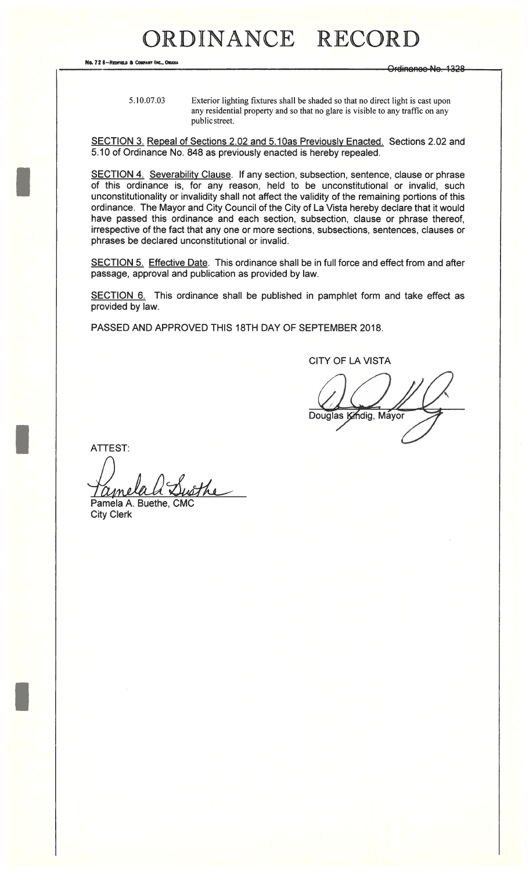No. 72 8-REDFIELD & COMPANY INC., OMAHA

Ordinanee Ne. 1328

5.10.07.03

Exterior lighting fixtures shall be shaded so that no direct light is cast upon any residential property and so that no glare is visible to any traffic on any public street.

SECTION 3. Repeal of Sections 2.02 and 5.10as Previously Enacted. Sections 2.02 and 5.10 of Ordinance No. 848 as previously enacted is hereby repealed.

SECTION 4. Severability Clause. If any section, subsection, sentence, clause or phrase of this ordinance is, for any reason, held to be unconstitutional or invalid, such unconstitutionality or invalidity shall not affect the validity of the remaining portions of this ordinance. The Mayor and City Council of the City of La Vista hereby declare that it would have passed this ordinance and each section, subsection, clause or phrase thereof, irrespective of the fact that any one or more sections, subsections, sentences, clauses or phrases be declared unconstitutional or invalid.

SECTION 5. Effective Date. This ordinance shall be in full force and effect from and after passage, approval and publication as provided by law.

SECTION 6. This ordinance shall be published in pamphlet form and take effect as provided by law.

PASSED AND APPROVED THIS 18TH DAY OF SEPTEMBER 2018.

**CITY OF LA VISTA** 

Douglas Kindig, Mayor

**ATTEST:** 

Susthe <u>Ume</u> Pamela A. Buethe, CM

**City Clerk**